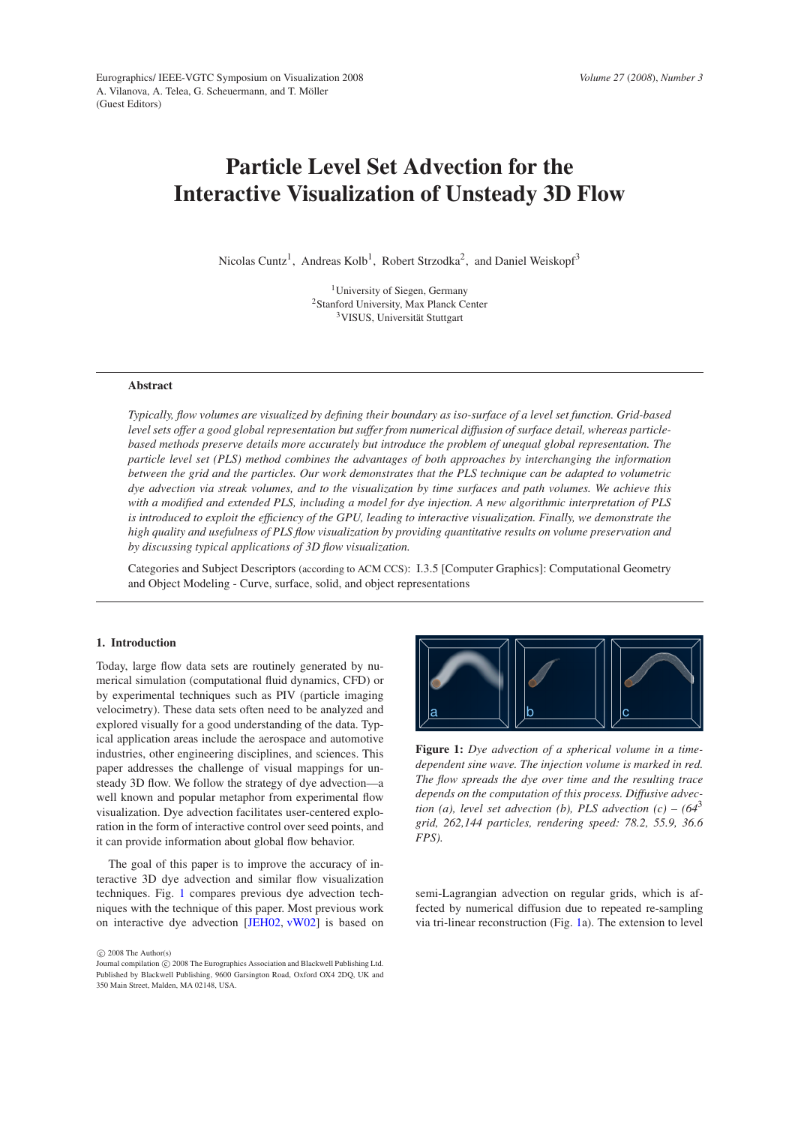# **Particle Level Set Advection for the Interactive Visualization of Unsteady 3D Flow**

Nicolas Cuntz<sup>1</sup>, Andreas Kolb<sup>1</sup>, Robert Strzodka<sup>2</sup>, and Daniel Weiskopf<sup>3</sup>

<sup>1</sup>University of Siegen, Germany <sup>2</sup>Stanford University, Max Planck Center <sup>3</sup>VISUS, Universität Stuttgart

# **Abstract**

*Typically, flow volumes are visualized by defining their boundary as iso-surface of a level set function. Grid-based level sets offer a good global representation but suffer from numerical diffusion of surface detail, whereas particlebased methods preserve details more accurately but introduce the problem of unequal global representation. The particle level set (PLS) method combines the advantages of both approaches by interchanging the information between the grid and the particles. Our work demonstrates that the PLS technique can be adapted to volumetric dye advection via streak volumes, and to the visualization by time surfaces and path volumes. We achieve this with a modified and extended PLS, including a model for dye injection. A new algorithmic interpretation of PLS is introduced to exploit the efficiency of the GPU, leading to interactive visualization. Finally, we demonstrate the high quality and usefulness of PLS flow visualization by providing quantitative results on volume preservation and by discussing typical applications of 3D flow visualization.*

Categories and Subject Descriptors (according to ACM CCS): I.3.5 [Computer Graphics]: Computational Geometry and Object Modeling - Curve, surface, solid, and object representations

# **1. Introduction**

Today, large flow data sets are routinely generated by numerical simulation (computational fluid dynamics, CFD) or by experimental techniques such as PIV (particle imaging velocimetry). These data sets often need to be analyzed and explored visually for a good understanding of the data. Typical application areas include the aerospace and automotive industries, other engineering disciplines, and sciences. This paper addresses the challenge of visual mappings for unsteady 3D flow. We follow the strategy of dye advection—a well known and popular metaphor from experimental flow visualization. Dye advection facilitates user-centered exploration in the form of interactive control over seed points, and it can provide information about global flow behavior.

The goal of this paper is to improve the accuracy of interactive 3D dye advection and similar flow visualization techniques. Fig. [1](#page-0-0) compares previous dye advection techniques with the technique of this paper. Most previous work on interactive dye advection [\[JEH02,](#page-7-0) [vW02\]](#page-7-1) is based on

 $\circ$  2008 The Author(s)



<span id="page-0-0"></span>**Figure 1:** *Dye advection of a spherical volume in a timedependent sine wave. The injection volume is marked in red. The flow spreads the dye over time and the resulting trace depends on the computation of this process. Diffusive advection (a), level set advection (b), PLS advection (c) –*  $(64^3)$ *grid, 262,144 particles, rendering speed: 78.2, 55.9, 36.6 FPS).*

semi-Lagrangian advection on regular grids, which is affected by numerical diffusion due to repeated re-sampling via tri-linear reconstruction (Fig. [1a](#page-0-0)). The extension to level

Journal compilation  $\odot$  2008 The Eurographics Association and Blackwell Publishing Ltd. Published by Blackwell Publishing, 9600 Garsington Road, Oxford OX4 2DQ, UK and 350 Main Street, Malden, MA 02148, USA.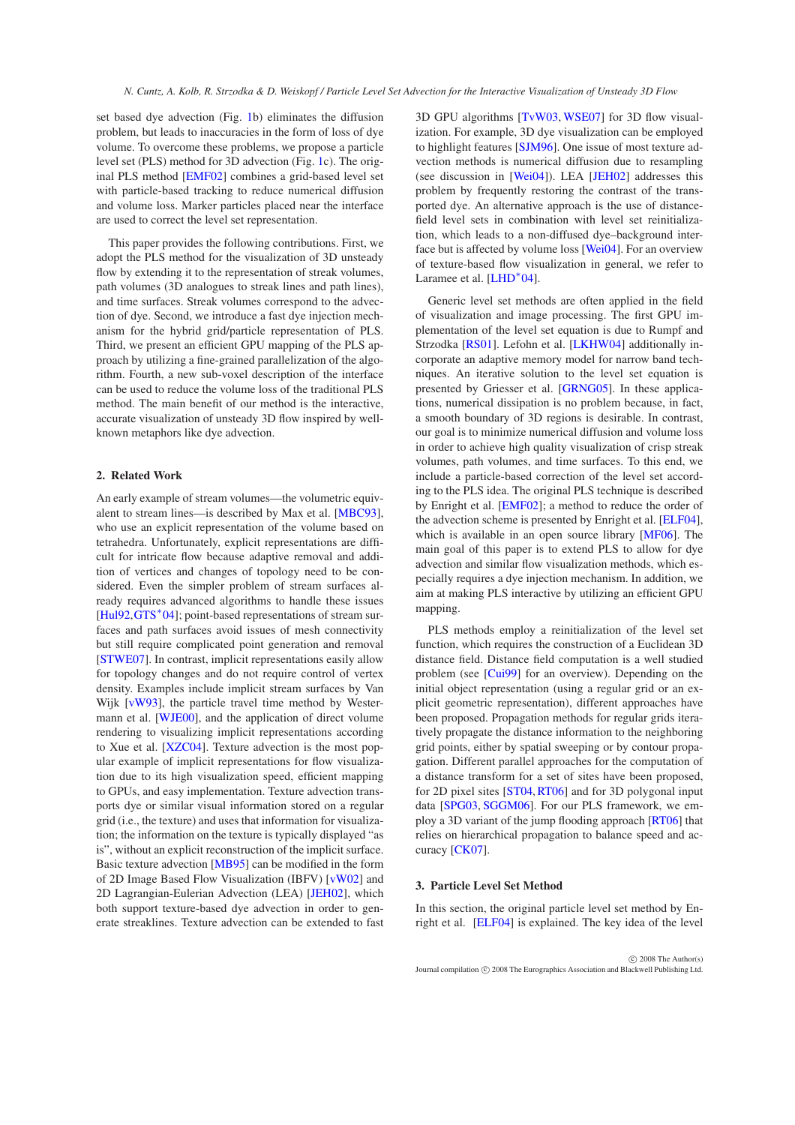set based dye advection (Fig. [1b](#page-0-0)) eliminates the diffusion problem, but leads to inaccuracies in the form of loss of dye volume. To overcome these problems, we propose a particle level set (PLS) method for 3D advection (Fig. [1c](#page-0-0)). The original PLS method [\[EMF02\]](#page-7-2) combines a grid-based level set with particle-based tracking to reduce numerical diffusion and volume loss. Marker particles placed near the interface are used to correct the level set representation.

This paper provides the following contributions. First, we adopt the PLS method for the visualization of 3D unsteady flow by extending it to the representation of streak volumes, path volumes (3D analogues to streak lines and path lines), and time surfaces. Streak volumes correspond to the advection of dye. Second, we introduce a fast dye injection mechanism for the hybrid grid/particle representation of PLS. Third, we present an efficient GPU mapping of the PLS approach by utilizing a fine-grained parallelization of the algorithm. Fourth, a new sub-voxel description of the interface can be used to reduce the volume loss of the traditional PLS method. The main benefit of our method is the interactive, accurate visualization of unsteady 3D flow inspired by wellknown metaphors like dye advection.

# **2. Related Work**

An early example of stream volumes—the volumetric equivalent to stream lines—is described by Max et al. [\[MBC93\]](#page-7-3), who use an explicit representation of the volume based on tetrahedra. Unfortunately, explicit representations are difficult for intricate flow because adaptive removal and addition of vertices and changes of topology need to be considered. Even the simpler problem of stream surfaces already requires advanced algorithms to handle these issues [\[Hul92](#page-7-4), GTS<sup>\*</sup>04]; point-based representations of stream surfaces and path surfaces avoid issues of mesh connectivity but still require complicated point generation and removal [\[STWE07\]](#page-7-6). In contrast, implicit representations easily allow for topology changes and do not require control of vertex density. Examples include implicit stream surfaces by Van Wijk [\[vW93\]](#page-7-7), the particle travel time method by Westermann et al. [\[WJE00\]](#page-7-8), and the application of direct volume rendering to visualizing implicit representations according to Xue et al. [\[XZC04\]](#page-7-9). Texture advection is the most popular example of implicit representations for flow visualization due to its high visualization speed, efficient mapping to GPUs, and easy implementation. Texture advection transports dye or similar visual information stored on a regular grid (i.e., the texture) and uses that information for visualization; the information on the texture is typically displayed "as is", without an explicit reconstruction of the implicit surface. Basic texture advection [\[MB95\]](#page-7-10) can be modified in the form of 2D Image Based Flow Visualization (IBFV) [\[vW02\]](#page-7-1) and 2D Lagrangian-Eulerian Advection (LEA) [\[JEH02\]](#page-7-0), which both support texture-based dye advection in order to generate streaklines. Texture advection can be extended to fast

3D GPU algorithms [\[TvW03,](#page-7-11) [WSE07\]](#page-7-12) for 3D flow visualization. For example, 3D dye visualization can be employed to highlight features [\[SJM96\]](#page-7-13). One issue of most texture advection methods is numerical diffusion due to resampling (see discussion in [\[Wei04\]](#page-7-14)). LEA [\[JEH02\]](#page-7-0) addresses this problem by frequently restoring the contrast of the transported dye. An alternative approach is the use of distancefield level sets in combination with level set reinitialization, which leads to a non-diffused dye–background interface but is affected by volume loss [\[Wei04\]](#page-7-14). For an overview of texture-based flow visualization in general, we refer to Laramee et al. [\[LHD](#page-7-15)<sup>\*</sup>04].

Generic level set methods are often applied in the field of visualization and image processing. The first GPU implementation of the level set equation is due to Rumpf and Strzodka [\[RS01\]](#page-7-16). Lefohn et al. [\[LKHW04\]](#page-7-17) additionally incorporate an adaptive memory model for narrow band techniques. An iterative solution to the level set equation is presented by Griesser et al. [\[GRNG05\]](#page-7-18). In these applications, numerical dissipation is no problem because, in fact, a smooth boundary of 3D regions is desirable. In contrast, our goal is to minimize numerical diffusion and volume loss in order to achieve high quality visualization of crisp streak volumes, path volumes, and time surfaces. To this end, we include a particle-based correction of the level set according to the PLS idea. The original PLS technique is described by Enright et al. [\[EMF02\]](#page-7-2); a method to reduce the order of the advection scheme is presented by Enright et al. [\[ELF04\]](#page-7-19), which is available in an open source library [\[MF06\]](#page-7-20). The main goal of this paper is to extend PLS to allow for dye advection and similar flow visualization methods, which especially requires a dye injection mechanism. In addition, we aim at making PLS interactive by utilizing an efficient GPU mapping.

PLS methods employ a reinitialization of the level set function, which requires the construction of a Euclidean 3D distance field. Distance field computation is a well studied problem (see [\[Cui99\]](#page-7-21) for an overview). Depending on the initial object representation (using a regular grid or an explicit geometric representation), different approaches have been proposed. Propagation methods for regular grids iteratively propagate the distance information to the neighboring grid points, either by spatial sweeping or by contour propagation. Different parallel approaches for the computation of a distance transform for a set of sites have been proposed, for 2D pixel sites [\[ST04,](#page-7-22)[RT06\]](#page-7-23) and for 3D polygonal input data [\[SPG03,](#page-7-24) [SGGM06\]](#page-7-25). For our PLS framework, we employ a 3D variant of the jump flooding approach [\[RT06\]](#page-7-23) that relies on hierarchical propagation to balance speed and accuracy [\[CK07\]](#page-7-26).

### <span id="page-1-0"></span>**3. Particle Level Set Method**

In this section, the original particle level set method by Enright et al. [\[ELF04\]](#page-7-19) is explained. The key idea of the level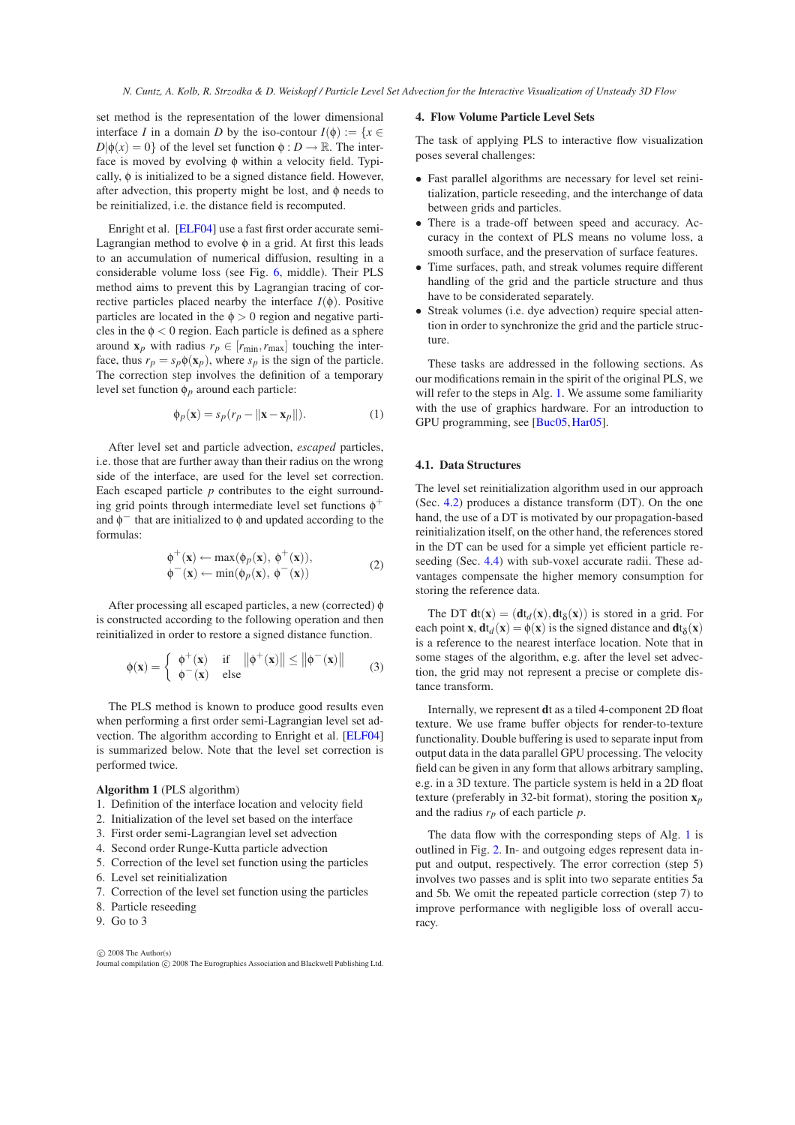set method is the representation of the lower dimensional interface *I* in a domain *D* by the iso-contour  $I(\phi) := \{x \in$  $D|\phi(x) = 0$  of the level set function  $\phi : D \to \mathbb{R}$ . The interface is moved by evolving φ within a velocity field. Typically, φ is initialized to be a signed distance field. However, after advection, this property might be lost, and φ needs to be reinitialized, i.e. the distance field is recomputed.

Enright et al. [\[ELF04\]](#page-7-19) use a fast first order accurate semi-Lagrangian method to evolve  $\phi$  in a grid. At first this leads to an accumulation of numerical diffusion, resulting in a considerable volume loss (see Fig. [6,](#page-6-0) middle). Their PLS method aims to prevent this by Lagrangian tracing of corrective particles placed nearby the interface  $I(\phi)$ . Positive particles are located in the  $\phi > 0$  region and negative particles in the  $\phi < 0$  region. Each particle is defined as a sphere around  $\mathbf{x}_p$  with radius  $r_p \in [r_{\min}, r_{\max}]$  touching the interface, thus  $r_p = s_p \phi(\mathbf{x}_p)$ , where  $s_p$  is the sign of the particle. The correction step involves the definition of a temporary level set function φ*p* around each particle:

<span id="page-2-1"></span>
$$
\phi_p(\mathbf{x}) = s_p(r_p - ||\mathbf{x} - \mathbf{x}_p||). \tag{1}
$$

After level set and particle advection, *escaped* particles, i.e. those that are further away than their radius on the wrong side of the interface, are used for the level set correction. Each escaped particle *p* contributes to the eight surrounding grid points through intermediate level set functions  $\phi^+$ and  $\phi$ <sup>-</sup> that are initialized to  $\phi$  and updated according to the formulas:

$$
\begin{aligned}\n\phi^+(x) &\leftarrow \max(\phi_p(x), \ \phi^+(x)), \\
\phi^-(x) &\leftarrow \min(\phi_p(x), \ \phi^-(x))\n\end{aligned} \tag{2}
$$

After processing all escaped particles, a new (corrected) φ is constructed according to the following operation and then reinitialized in order to restore a signed distance function.

$$
\phi(\mathbf{x}) = \begin{cases} \phi^+(\mathbf{x}) & \text{if } \|\phi^+(\mathbf{x})\| \le \|\phi^-(\mathbf{x})\| \\ \phi^-(\mathbf{x}) & \text{else} \end{cases}
$$
(3)

The PLS method is known to produce good results even when performing a first order semi-Lagrangian level set advection. The algorithm according to Enright et al. [\[ELF04\]](#page-7-19) is summarized below. Note that the level set correction is performed twice.

#### <span id="page-2-0"></span>**Algorithm 1** (PLS algorithm)

- 1. Definition of the interface location and velocity field
- 2. Initialization of the level set based on the interface
- 3. First order semi-Lagrangian level set advection
- 4. Second order Runge-Kutta particle advection
- 5. Correction of the level set function using the particles 6. Level set reinitialization
- 
- 7. Correction of the level set function using the particles
- 8. Particle reseeding
- 9. Go to 3

#### $\odot$  2008 The Author(s) Journal compilation  $\circled{c}$  2008 The Eurographics Association and Blackwell Publishing Ltd.

#### **4. Flow Volume Particle Level Sets**

The task of applying PLS to interactive flow visualization poses several challenges:

- Fast parallel algorithms are necessary for level set reinitialization, particle reseeding, and the interchange of data between grids and particles.
- There is a trade-off between speed and accuracy. Accuracy in the context of PLS means no volume loss, a smooth surface, and the preservation of surface features.
- Time surfaces, path, and streak volumes require different handling of the grid and the particle structure and thus have to be considerated separately.
- Streak volumes (i.e. dye advection) require special attention in order to synchronize the grid and the particle structure.

These tasks are addressed in the following sections. As our modifications remain in the spirit of the original PLS, we will refer to the steps in Alg. [1.](#page-2-0) We assume some familiarity with the use of graphics hardware. For an introduction to GPU programming, see [\[Buc05,](#page-7-27)[Har05\]](#page-7-28).

# **4.1. Data Structures**

The level set reinitialization algorithm used in our approach (Sec. [4.2\)](#page-3-0) produces a distance transform (DT). On the one hand, the use of a DT is motivated by our propagation-based reinitialization itself, on the other hand, the references stored in the DT can be used for a simple yet efficient particle reseeding (Sec. [4.4\)](#page-3-1) with sub-voxel accurate radii. These advantages compensate the higher memory consumption for storing the reference data.

<span id="page-2-2"></span>The DT  $dt(x) = (dt_d(x), dt_\delta(x))$  is stored in a grid. For each point **x**,  $dt_d$ (**x**) =  $\phi$ (**x**) is the signed distance and  $dt_\delta$ (**x**) is a reference to the nearest interface location. Note that in some stages of the algorithm, e.g. after the level set advection, the grid may not represent a precise or complete distance transform.

Internally, we represent **d**t as a tiled 4-component 2D float texture. We use frame buffer objects for render-to-texture functionality. Double buffering is used to separate input from output data in the data parallel GPU processing. The velocity field can be given in any form that allows arbitrary sampling, e.g. in a 3D texture. The particle system is held in a 2D float texture (preferably in 32-bit format), storing the position **x***p* and the radius *rp* of each particle *p*.

The data flow with the corresponding steps of Alg. [1](#page-2-0) is outlined in Fig. [2.](#page-3-2) In- and outgoing edges represent data input and output, respectively. The error correction (step 5) involves two passes and is split into two separate entities 5a and 5b. We omit the repeated particle correction (step 7) to improve performance with negligible loss of overall accuracy.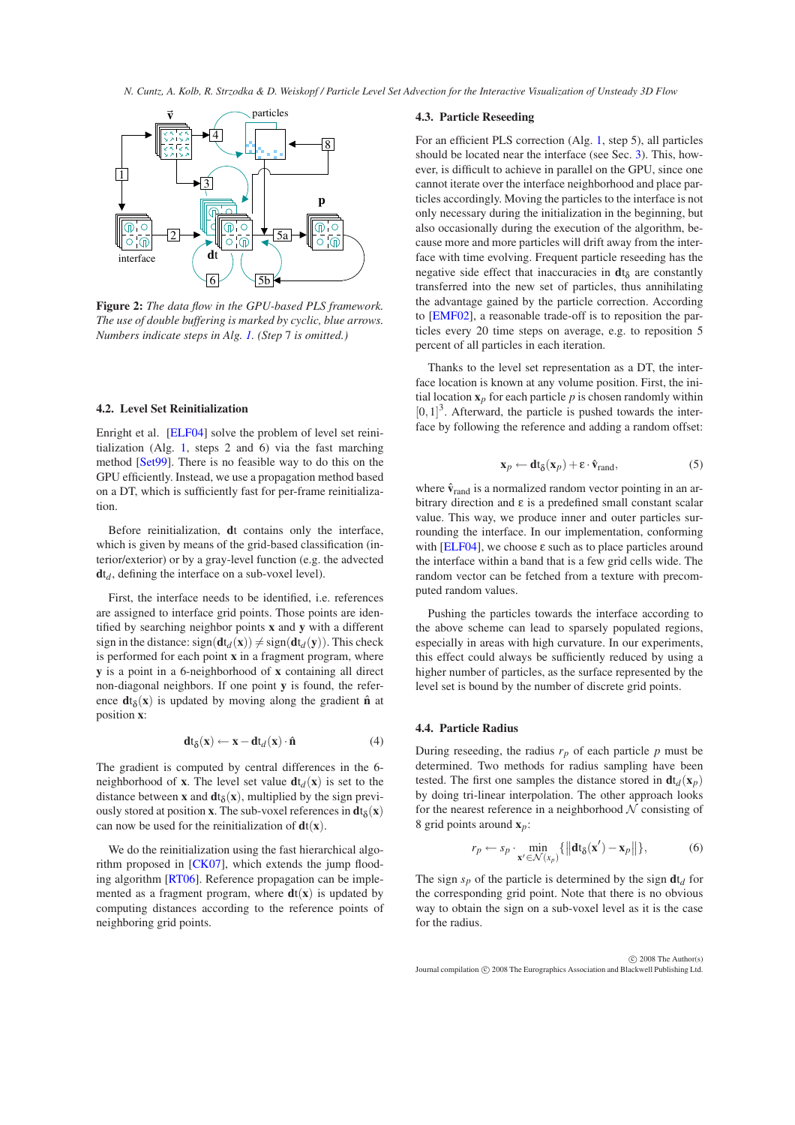

<span id="page-3-2"></span>**Figure 2:** *The data flow in the GPU-based PLS framework. The use of double buffering is marked by cyclic, blue arrows. Numbers indicate steps in Alg. [1.](#page-2-0) (Step* 7 *is omitted.)*

## <span id="page-3-0"></span>**4.2. Level Set Reinitialization**

Enright et al. [\[ELF04\]](#page-7-19) solve the problem of level set reinitialization (Alg. [1,](#page-2-0) steps 2 and 6) via the fast marching method [\[Set99\]](#page-7-29). There is no feasible way to do this on the GPU efficiently. Instead, we use a propagation method based on a DT, which is sufficiently fast for per-frame reinitialization.

Before reinitialization, **d**t contains only the interface, which is given by means of the grid-based classification (interior/exterior) or by a gray-level function (e.g. the advected  $dt_d$ , defining the interface on a sub-voxel level).

First, the interface needs to be identified, i.e. references are assigned to interface grid points. Those points are identified by searching neighbor points **x** and **y** with a different sign in the distance:  $sign(\mathbf{dt}_d(\mathbf{x})) \neq sign(\mathbf{dt}_d(\mathbf{y}))$ . This check is performed for each point **x** in a fragment program, where **y** is a point in a 6-neighborhood of **x** containing all direct non-diagonal neighbors. If one point **y** is found, the reference  $dt_{\delta}(\mathbf{x})$  is updated by moving along the gradient  $\hat{\mathbf{n}}$  at position **x**:

$$
\mathbf{dt}_{\delta}(\mathbf{x}) \leftarrow \mathbf{x} - \mathbf{dt}_{d}(\mathbf{x}) \cdot \hat{\mathbf{n}} \tag{4}
$$

The gradient is computed by central differences in the 6 neighborhood of **x**. The level set value  $dt_d(x)$  is set to the distance between **x** and  $dt_{\delta}(x)$ , multiplied by the sign previously stored at position **x**. The sub-voxel references in  $dt_{\delta}(\mathbf{x})$ can now be used for the reinitialization of  $dt(x)$ .

We do the reinitialization using the fast hierarchical algo-rithm proposed in [\[CK07\]](#page-7-26), which extends the jump flooding algorithm [\[RT06\]](#page-7-23). Reference propagation can be implemented as a fragment program, where  $dt(x)$  is updated by computing distances according to the reference points of neighboring grid points.

#### <span id="page-3-4"></span>**4.3. Particle Reseeding**

For an efficient PLS correction (Alg. [1,](#page-2-0) step 5), all particles should be located near the interface (see Sec. [3\)](#page-1-0). This, however, is difficult to achieve in parallel on the GPU, since one cannot iterate over the interface neighborhood and place particles accordingly. Moving the particles to the interface is not only necessary during the initialization in the beginning, but also occasionally during the execution of the algorithm, because more and more particles will drift away from the interface with time evolving. Frequent particle reseeding has the negative side effect that inaccuracies in  $dt_{\delta}$  are constantly transferred into the new set of particles, thus annihilating the advantage gained by the particle correction. According to [\[EMF02\]](#page-7-2), a reasonable trade-off is to reposition the particles every 20 time steps on average, e.g. to reposition 5 percent of all particles in each iteration.

Thanks to the level set representation as a DT, the interface location is known at any volume position. First, the initial location  $\mathbf{x}_p$  for each particle p is chosen randomly within  $[0,1]^3$ . Afterward, the particle is pushed towards the interface by following the reference and adding a random offset:

$$
\mathbf{x}_p \leftarrow \mathbf{dt}_{\delta}(\mathbf{x}_p) + \varepsilon \cdot \hat{\mathbf{v}}_{\text{rand}},
$$
 (5)

where  $\hat{\mathbf{v}}_{\text{rand}}$  is a normalized random vector pointing in an arbitrary direction and  $\varepsilon$  is a predefined small constant scalar value. This way, we produce inner and outer particles surrounding the interface. In our implementation, conforming with [\[ELF04\]](#page-7-19), we choose  $\varepsilon$  such as to place particles around the interface within a band that is a few grid cells wide. The random vector can be fetched from a texture with precomputed random values.

Pushing the particles towards the interface according to the above scheme can lead to sparsely populated regions, especially in areas with high curvature. In our experiments, this effect could always be sufficiently reduced by using a higher number of particles, as the surface represented by the level set is bound by the number of discrete grid points.

### <span id="page-3-1"></span>**4.4. Particle Radius**

During reseeding, the radius  $r_p$  of each particle  $p$  must be determined. Two methods for radius sampling have been tested. The first one samples the distance stored in  $dt_d(\mathbf{x}_p)$ by doing tri-linear interpolation. The other approach looks for the nearest reference in a neighborhood  $N$  consisting of 8 grid points around **x***p*:

<span id="page-3-3"></span>
$$
r_p \leftarrow s_p \cdot \min_{\mathbf{x}' \in \mathcal{N}(x_p)} \{ ||\mathbf{dt}_{\delta}(\mathbf{x}') - \mathbf{x}_p|| \},\tag{6}
$$

The sign  $s_p$  of the particle is determined by the sign  $dt_d$  for the corresponding grid point. Note that there is no obvious way to obtain the sign on a sub-voxel level as it is the case for the radius.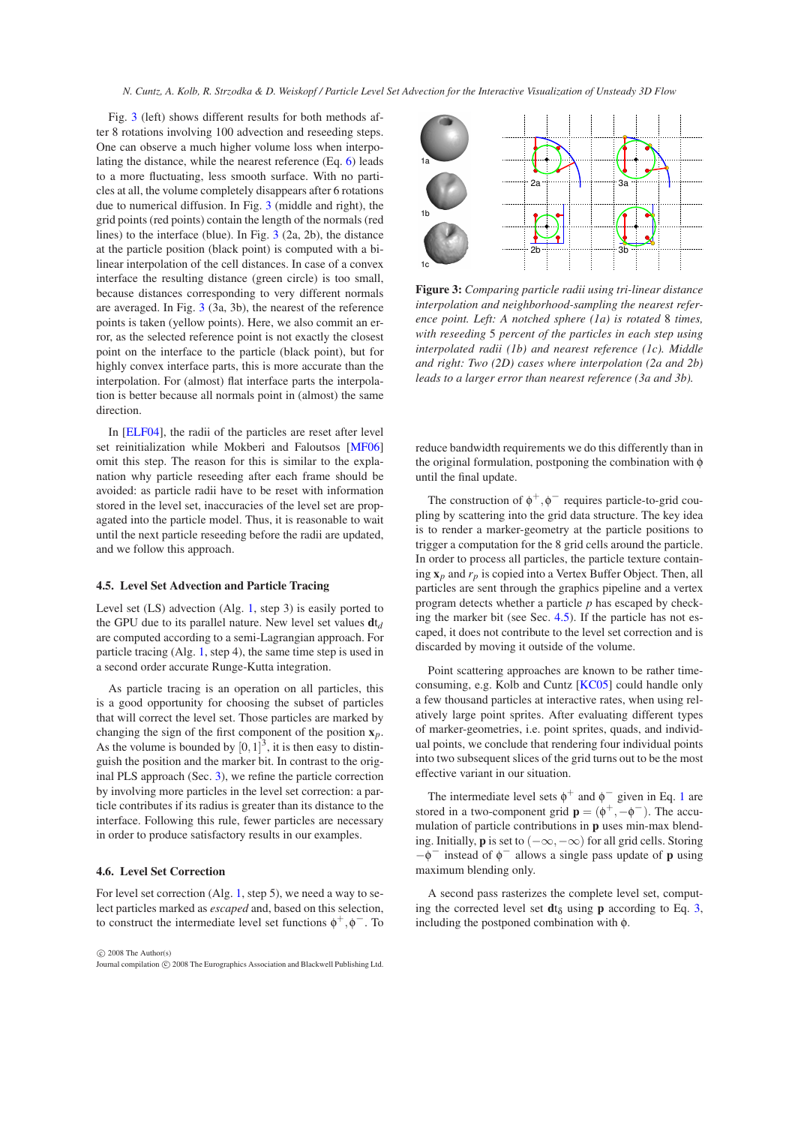Fig. [3](#page-4-0) (left) shows different results for both methods after 8 rotations involving 100 advection and reseeding steps. One can observe a much higher volume loss when interpolating the distance, while the nearest reference (Eq. [6\)](#page-3-3) leads to a more fluctuating, less smooth surface. With no particles at all, the volume completely disappears after 6 rotations due to numerical diffusion. In Fig. [3](#page-4-0) (middle and right), the grid points (red points) contain the length of the normals (red lines) to the interface (blue). In Fig. [3](#page-4-0) (2a, 2b), the distance at the particle position (black point) is computed with a bilinear interpolation of the cell distances. In case of a convex interface the resulting distance (green circle) is too small, because distances corresponding to very different normals are averaged. In Fig. [3](#page-4-0) (3a, 3b), the nearest of the reference points is taken (yellow points). Here, we also commit an error, as the selected reference point is not exactly the closest point on the interface to the particle (black point), but for highly convex interface parts, this is more accurate than the interpolation. For (almost) flat interface parts the interpolation is better because all normals point in (almost) the same direction.

In [\[ELF04\]](#page-7-19), the radii of the particles are reset after level set reinitialization while Mokberi and Faloutsos [\[MF06\]](#page-7-20) omit this step. The reason for this is similar to the explanation why particle reseeding after each frame should be avoided: as particle radii have to be reset with information stored in the level set, inaccuracies of the level set are propagated into the particle model. Thus, it is reasonable to wait until the next particle reseeding before the radii are updated, and we follow this approach.

### <span id="page-4-1"></span>**4.5. Level Set Advection and Particle Tracing**

Level set (LS) advection (Alg. [1,](#page-2-0) step 3) is easily ported to the GPU due to its parallel nature. New level set values  $dt_d$ are computed according to a semi-Lagrangian approach. For particle tracing (Alg. [1,](#page-2-0) step 4), the same time step is used in a second order accurate Runge-Kutta integration.

As particle tracing is an operation on all particles, this is a good opportunity for choosing the subset of particles that will correct the level set. Those particles are marked by changing the sign of the first component of the position **x***p*. As the volume is bounded by  $[0,1]^3$ , it is then easy to distinguish the position and the marker bit. In contrast to the original PLS approach (Sec. [3\)](#page-1-0), we refine the particle correction by involving more particles in the level set correction: a particle contributes if its radius is greater than its distance to the interface. Following this rule, fewer particles are necessary in order to produce satisfactory results in our examples.

# **4.6. Level Set Correction**

For level set correction (Alg. [1,](#page-2-0) step 5), we need a way to select particles marked as *escaped* and, based on this selection, to construct the intermediate level set functions  $\phi^+, \phi^-.$  To





<span id="page-4-0"></span>**Figure 3:** *Comparing particle radii using tri-linear distance interpolation and neighborhood-sampling the nearest reference point. Left: A notched sphere (1a) is rotated* 8 *times, with reseeding* 5 *percent of the particles in each step using interpolated radii (1b) and nearest reference (1c). Middle and right: Two (2D) cases where interpolation (2a and 2b) leads to a larger error than nearest reference (3a and 3b).*

reduce bandwidth requirements we do this differently than in the original formulation, postponing the combination with φ until the final update.

The construction of  $\phi^+$ ,  $\phi^-$  requires particle-to-grid coupling by scattering into the grid data structure. The key idea is to render a marker-geometry at the particle positions to trigger a computation for the 8 grid cells around the particle. In order to process all particles, the particle texture containing **x***p* and *rp* is copied into a Vertex Buffer Object. Then, all particles are sent through the graphics pipeline and a vertex program detects whether a particle *p* has escaped by checking the marker bit (see Sec. [4.5\)](#page-4-1). If the particle has not escaped, it does not contribute to the level set correction and is discarded by moving it outside of the volume.

Point scattering approaches are known to be rather timeconsuming, e.g. Kolb and Cuntz [\[KC05\]](#page-7-30) could handle only a few thousand particles at interactive rates, when using relatively large point sprites. After evaluating different types of marker-geometries, i.e. point sprites, quads, and individual points, we conclude that rendering four individual points into two subsequent slices of the grid turns out to be the most effective variant in our situation.

The intermediate level sets  $\phi^+$  and  $\phi^-$  given in Eq. [1](#page-2-1) are stored in a two-component grid  $\mathbf{p} = (\phi^+, -\phi^-)$ . The accumulation of particle contributions in **p** uses min-max blending. Initially, **p** is set to  $(-\infty, -\infty)$  for all grid cells. Storing −φ <sup>−</sup> instead of φ <sup>−</sup> allows a single pass update of **p** using maximum blending only.

A second pass rasterizes the complete level set, computing the corrected level set  $dt_{\delta}$  using **p** according to Eq. [3,](#page-2-2) including the postponed combination with φ.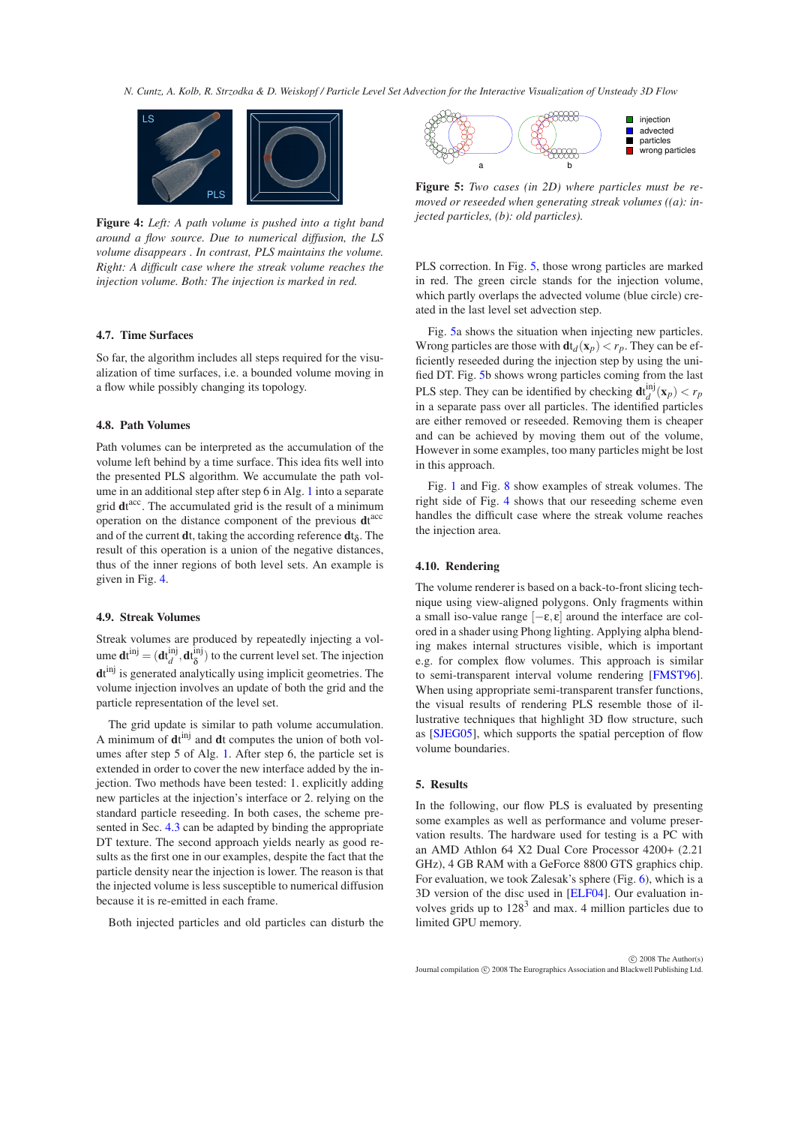

<span id="page-5-0"></span>**Figure 4:** *Left: A path volume is pushed into a tight band around a flow source. Due to numerical diffusion, the LS volume disappears . In contrast, PLS maintains the volume. Right: A difficult case where the streak volume reaches the injection volume. Both: The injection is marked in red.*

#### **4.7. Time Surfaces**

So far, the algorithm includes all steps required for the visualization of time surfaces, i.e. a bounded volume moving in a flow while possibly changing its topology.

## **4.8. Path Volumes**

Path volumes can be interpreted as the accumulation of the volume left behind by a time surface. This idea fits well into the presented PLS algorithm. We accumulate the path volume in an additional step after step 6 in Alg. [1](#page-2-0) into a separate grid dt<sup>acc</sup>. The accumulated grid is the result of a minimum operation on the distance component of the previous **d**t acc and of the current  $dt$ , taking the according reference  $dt_{\delta}$ . The result of this operation is a union of the negative distances, thus of the inner regions of both level sets. An example is given in Fig. [4.](#page-5-0)

# **4.9. Streak Volumes**

Streak volumes are produced by repeatedly injecting a vol- $\mathbf{u}$ me  $\mathbf{d} \mathbf{t}^{\text{inj}} = (\mathbf{d} \mathbf{t}_{d}^{\text{inj}}, \mathbf{d} \mathbf{t}_{\delta}^{\text{inj}})$  $\delta^{(m)}$  to the current level set. The injection **d**t inj is generated analytically using implicit geometries. The volume injection involves an update of both the grid and the particle representation of the level set.

The grid update is similar to path volume accumulation. A minimum of  $dt^{inj}$  and  $dt$  computes the union of both volumes after step 5 of Alg. [1.](#page-2-0) After step 6, the particle set is extended in order to cover the new interface added by the injection. Two methods have been tested: 1. explicitly adding new particles at the injection's interface or 2. relying on the standard particle reseeding. In both cases, the scheme presented in Sec. [4.3](#page-3-4) can be adapted by binding the appropriate DT texture. The second approach yields nearly as good results as the first one in our examples, despite the fact that the particle density near the injection is lower. The reason is that the injected volume is less susceptible to numerical diffusion because it is re-emitted in each frame.

Both injected particles and old particles can disturb the



<span id="page-5-1"></span>**Figure 5:** *Two cases (in 2D) where particles must be removed or reseeded when generating streak volumes ((a): injected particles, (b): old particles).*

PLS correction. In Fig. [5,](#page-5-1) those wrong particles are marked in red. The green circle stands for the injection volume, which partly overlaps the advected volume (blue circle) created in the last level set advection step.

Fig. [5a](#page-5-1) shows the situation when injecting new particles. Wrong particles are those with  $dt_d(\mathbf{x}_p) < r_p$ . They can be efficiently reseeded during the injection step by using the unified DT. Fig. [5b](#page-5-1) shows wrong particles coming from the last PLS step. They can be identified by checking  $\mathbf{d} \mathbf{t}_{d}^{\text{inj}}(\mathbf{x}_{p}) < r_{p}$ in a separate pass over all particles. The identified particles are either removed or reseeded. Removing them is cheaper and can be achieved by moving them out of the volume, However in some examples, too many particles might be lost in this approach.

Fig. [1](#page-0-0) and Fig. [8](#page-6-1) show examples of streak volumes. The right side of Fig. [4](#page-5-0) shows that our reseeding scheme even handles the difficult case where the streak volume reaches the injection area.

# **4.10. Rendering**

The volume renderer is based on a back-to-front slicing technique using view-aligned polygons. Only fragments within a small iso-value range  $[-\varepsilon, \varepsilon]$  around the interface are colored in a shader using Phong lighting. Applying alpha blending makes internal structures visible, which is important e.g. for complex flow volumes. This approach is similar to semi-transparent interval volume rendering [\[FMST96\]](#page-7-31). When using appropriate semi-transparent transfer functions, the visual results of rendering PLS resemble those of illustrative techniques that highlight 3D flow structure, such as [\[SJEG05\]](#page-7-32), which supports the spatial perception of flow volume boundaries.

### **5. Results**

In the following, our flow PLS is evaluated by presenting some examples as well as performance and volume preservation results. The hardware used for testing is a PC with an AMD Athlon 64 X2 Dual Core Processor 4200+ (2.21 GHz), 4 GB RAM with a GeForce 8800 GTS graphics chip. For evaluation, we took Zalesak's sphere (Fig. [6\)](#page-6-0), which is a 3D version of the disc used in [\[ELF04\]](#page-7-19). Our evaluation involves grids up to  $128<sup>3</sup>$  and max. 4 million particles due to limited GPU memory.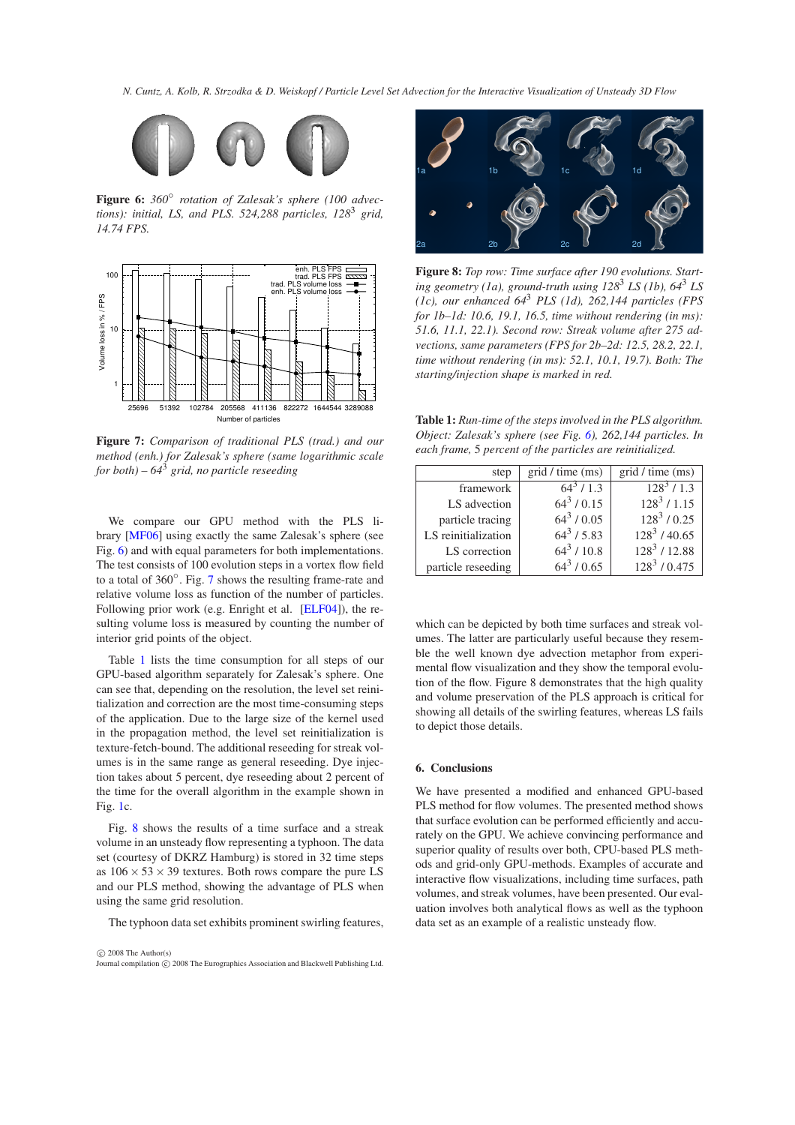

<span id="page-6-0"></span>**Figure 6:** *360*◦ *rotation of Zalesak's sphere (100 advec*tions): initial, LS, and PLS. 524,288 particles, 128<sup>3</sup> grid, *14.74 FPS.*



<span id="page-6-2"></span>**Figure 7:** *Comparison of traditional PLS (trad.) and our method (enh.) for Zalesak's sphere (same logarithmic scale for both) – 64*<sup>3</sup> *grid, no particle reseeding*

We compare our GPU method with the PLS library [\[MF06\]](#page-7-20) using exactly the same Zalesak's sphere (see Fig. [6\)](#page-6-0) and with equal parameters for both implementations. The test consists of 100 evolution steps in a vortex flow field to a total of 360◦ . Fig. [7](#page-6-2) shows the resulting frame-rate and relative volume loss as function of the number of particles. Following prior work (e.g. Enright et al. [\[ELF04\]](#page-7-19)), the resulting volume loss is measured by counting the number of interior grid points of the object.

Table [1](#page-6-3) lists the time consumption for all steps of our GPU-based algorithm separately for Zalesak's sphere. One can see that, depending on the resolution, the level set reinitialization and correction are the most time-consuming steps of the application. Due to the large size of the kernel used in the propagation method, the level set reinitialization is texture-fetch-bound. The additional reseeding for streak volumes is in the same range as general reseeding. Dye injection takes about 5 percent, dye reseeding about 2 percent of the time for the overall algorithm in the example shown in Fig. [1c](#page-0-0).

Fig. [8](#page-6-1) shows the results of a time surface and a streak volume in an unsteady flow representing a typhoon. The data set (courtesy of DKRZ Hamburg) is stored in 32 time steps as  $106 \times 53 \times 39$  textures. Both rows compare the pure LS and our PLS method, showing the advantage of PLS when using the same grid resolution.

The typhoon data set exhibits prominent swirling features,

 $\odot$  2008 The Author(s) Journal compilation  $\circled{c}$  2008 The Eurographics Association and Blackwell Publishing Ltd.



**Figure 8:** *Top row: Time surface after 190 evolutions. Starting geometry (1a), ground-truth using 128*<sup>3</sup> *LS (1b), 64*<sup>3</sup> *LS (1c), our enhanced 64*<sup>3</sup> *PLS (1d), 262,144 particles (FPS for 1b–1d: 10.6, 19.1, 16.5, time without rendering (in ms): 51.6, 11.1, 22.1). Second row: Streak volume after 275 advections, same parameters (FPS for 2b–2d: 12.5, 28.2, 22.1, time without rendering (in ms): 52.1, 10.1, 19.7). Both: The starting/injection shape is marked in red.*

<span id="page-6-3"></span><span id="page-6-1"></span>**Table 1:** *Run-time of the steps involved in the PLS algorithm. Object: Zalesak's sphere (see Fig. [6\)](#page-6-0), 262,144 particles. In each frame,* 5 *percent of the particles are reinitialized.*

| step                | grid / time (ms) | grid / time (ms) |
|---------------------|------------------|------------------|
| framework           | $64^3$ / 1.3     | $128^3$ / 1.3    |
| LS advection        | $64^3/0.15$      | $128^3 / 1.15$   |
| particle tracing    | $64^3 / 0.05$    | $128^3/0.25$     |
| LS reinitialization | $64^3$ / 5.83    | $128^3$ / 40.65  |
| LS correction       | $64^3/10.8$      | $128^3$ / 12.88  |
| particle reseeding  | $64^3/0.65$      | $128^3$ / 0.475  |

which can be depicted by both time surfaces and streak volumes. The latter are particularly useful because they resemble the well known dye advection metaphor from experimental flow visualization and they show the temporal evolution of the flow. Figure 8 demonstrates that the high quality and volume preservation of the PLS approach is critical for showing all details of the swirling features, whereas LS fails to depict those details.

# **6. Conclusions**

We have presented a modified and enhanced GPU-based PLS method for flow volumes. The presented method shows that surface evolution can be performed efficiently and accurately on the GPU. We achieve convincing performance and superior quality of results over both, CPU-based PLS methods and grid-only GPU-methods. Examples of accurate and interactive flow visualizations, including time surfaces, path volumes, and streak volumes, have been presented. Our evaluation involves both analytical flows as well as the typhoon data set as an example of a realistic unsteady flow.